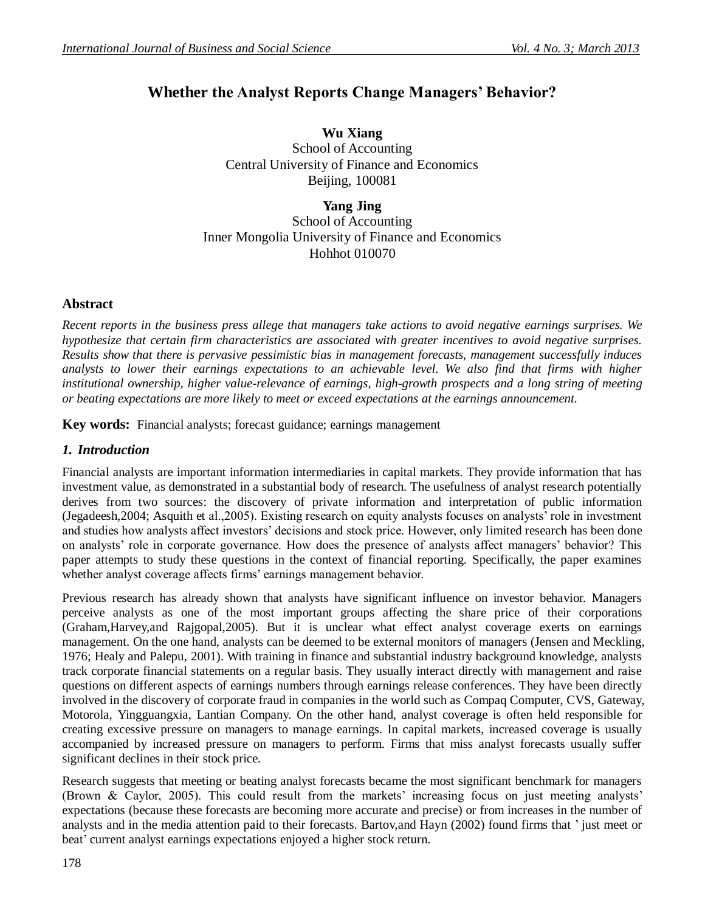# **Whether the Analyst Reports Change Managers' Behavior?**

**Wu Xiang**  School of Accounting Central University of Finance and Economics Beijing, 100081

**Yang Jing** School of Accounting Inner Mongolia University of Finance and Economics Hohhot 010070

## **Abstract**

*Recent reports in the business press allege that managers take actions to avoid negative earnings surprises. We hypothesize that certain firm characteristics are associated with greater incentives to avoid negative surprises. Results show that there is pervasive pessimistic bias in management forecasts, management successfully induces analysts to lower their earnings expectations to an achievable level. We also find that firms with higher institutional ownership, higher value-relevance of earnings, high-growth prospects and a long string of meeting or beating expectations are more likely to meet or exceed expectations at the earnings announcement.*

**Key words:** Financial analysts; forecast guidance; earnings management

# *1. Introduction*

Financial analysts are important information intermediaries in capital markets. They provide information that has investment value, as demonstrated in a substantial body of research. The usefulness of analyst research potentially derives from two sources: the discovery of private information and interpretation of public information (Jegadeesh,2004; Asquith et al.,2005). Existing research on equity analysts focuses on analysts' role in investment and studies how analysts affect investors' decisions and stock price. However, only limited research has been done on analysts' role in corporate governance. How does the presence of analysts affect managers' behavior? This paper attempts to study these questions in the context of financial reporting. Specifically, the paper examines whether analyst coverage affects firms' earnings management behavior.

Previous research has already shown that analysts have significant influence on investor behavior. Managers perceive analysts as one of the most important groups affecting the share price of their corporations (Graham,Harvey,and Rajgopal,2005). But it is unclear what effect analyst coverage exerts on earnings management. On the one hand, analysts can be deemed to be external monitors of managers (Jensen and Meckling, 1976; Healy and Palepu, 2001). With training in finance and substantial industry background knowledge, analysts track corporate financial statements on a regular basis. They usually interact directly with management and raise questions on different aspects of earnings numbers through earnings release conferences. They have been directly involved in the discovery of corporate fraud in companies in the world such as Compaq Computer, CVS, Gateway, Motorola, Yingguangxia, Lantian Company. On the other hand, analyst coverage is often held responsible for creating excessive pressure on managers to manage earnings. In capital markets, increased coverage is usually accompanied by increased pressure on managers to perform. Firms that miss analyst forecasts usually suffer significant declines in their stock price.

Research suggests that meeting or beating analyst forecasts became the most significant benchmark for managers (Brown & Caylor, 2005). This could result from the markets' increasing focus on just meeting analysts' expectations (because these forecasts are becoming more accurate and precise) or from increases in the number of analysts and in the media attention paid to their forecasts. Bartov,and Hayn (2002) found firms that ' just meet or beat' current analyst earnings expectations enjoyed a higher stock return.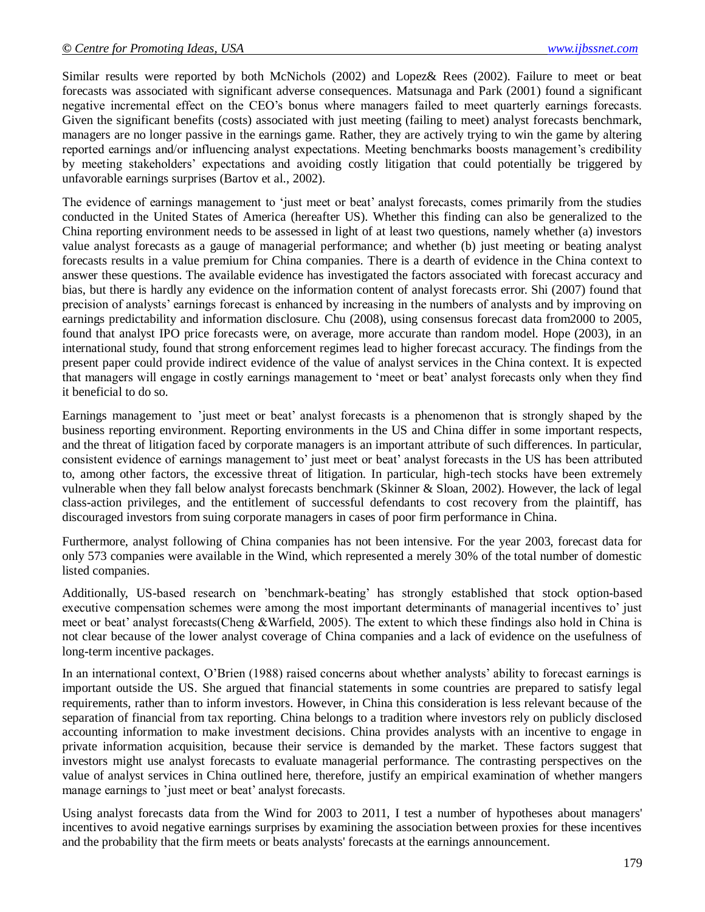Similar results were reported by both McNichols (2002) and Lopez& Rees (2002). Failure to meet or beat forecasts was associated with significant adverse consequences. Matsunaga and Park (2001) found a significant negative incremental effect on the CEO's bonus where managers failed to meet quarterly earnings forecasts. Given the significant benefits (costs) associated with just meeting (failing to meet) analyst forecasts benchmark, managers are no longer passive in the earnings game. Rather, they are actively trying to win the game by altering reported earnings and/or influencing analyst expectations. Meeting benchmarks boosts management's credibility by meeting stakeholders' expectations and avoiding costly litigation that could potentially be triggered by unfavorable earnings surprises (Bartov et al., 2002).

The evidence of earnings management to 'just meet or beat' analyst forecasts, comes primarily from the studies conducted in the United States of America (hereafter US). Whether this finding can also be generalized to the China reporting environment needs to be assessed in light of at least two questions, namely whether (a) investors value analyst forecasts as a gauge of managerial performance; and whether (b) just meeting or beating analyst forecasts results in a value premium for China companies. There is a dearth of evidence in the China context to answer these questions. The available evidence has investigated the factors associated with forecast accuracy and bias, but there is hardly any evidence on the information content of analyst forecasts error. Shi (2007) found that precision of analysts' earnings forecast is enhanced by increasing in the numbers of analysts and by improving on earnings predictability and information disclosure. Chu (2008), using consensus forecast data from2000 to 2005, found that analyst IPO price forecasts were, on average, more accurate than random model. Hope (2003), in an international study, found that strong enforcement regimes lead to higher forecast accuracy. The findings from the present paper could provide indirect evidence of the value of analyst services in the China context. It is expected that managers will engage in costly earnings management to 'meet or beat' analyst forecasts only when they find it beneficial to do so.

Earnings management to 'just meet or beat' analyst forecasts is a phenomenon that is strongly shaped by the business reporting environment. Reporting environments in the US and China differ in some important respects, and the threat of litigation faced by corporate managers is an important attribute of such differences. In particular, consistent evidence of earnings management to' just meet or beat' analyst forecasts in the US has been attributed to, among other factors, the excessive threat of litigation. In particular, high-tech stocks have been extremely vulnerable when they fall below analyst forecasts benchmark (Skinner & Sloan, 2002). However, the lack of legal class-action privileges, and the entitlement of successful defendants to cost recovery from the plaintiff, has discouraged investors from suing corporate managers in cases of poor firm performance in China.

Furthermore, analyst following of China companies has not been intensive. For the year 2003, forecast data for only 573 companies were available in the Wind, which represented a merely 30% of the total number of domestic listed companies.

Additionally, US-based research on 'benchmark-beating' has strongly established that stock option-based executive compensation schemes were among the most important determinants of managerial incentives to' just meet or beat' analyst forecasts(Cheng &Warfield, 2005). The extent to which these findings also hold in China is not clear because of the lower analyst coverage of China companies and a lack of evidence on the usefulness of long-term incentive packages.

In an international context, O'Brien (1988) raised concerns about whether analysts' ability to forecast earnings is important outside the US. She argued that financial statements in some countries are prepared to satisfy legal requirements, rather than to inform investors. However, in China this consideration is less relevant because of the separation of financial from tax reporting. China belongs to a tradition where investors rely on publicly disclosed accounting information to make investment decisions. China provides analysts with an incentive to engage in private information acquisition, because their service is demanded by the market. These factors suggest that investors might use analyst forecasts to evaluate managerial performance. The contrasting perspectives on the value of analyst services in China outlined here, therefore, justify an empirical examination of whether mangers manage earnings to 'just meet or beat' analyst forecasts.

Using analyst forecasts data from the Wind for 2003 to 2011, I test a number of hypotheses about managers' incentives to avoid negative earnings surprises by examining the association between proxies for these incentives and the probability that the firm meets or beats analysts' forecasts at the earnings announcement.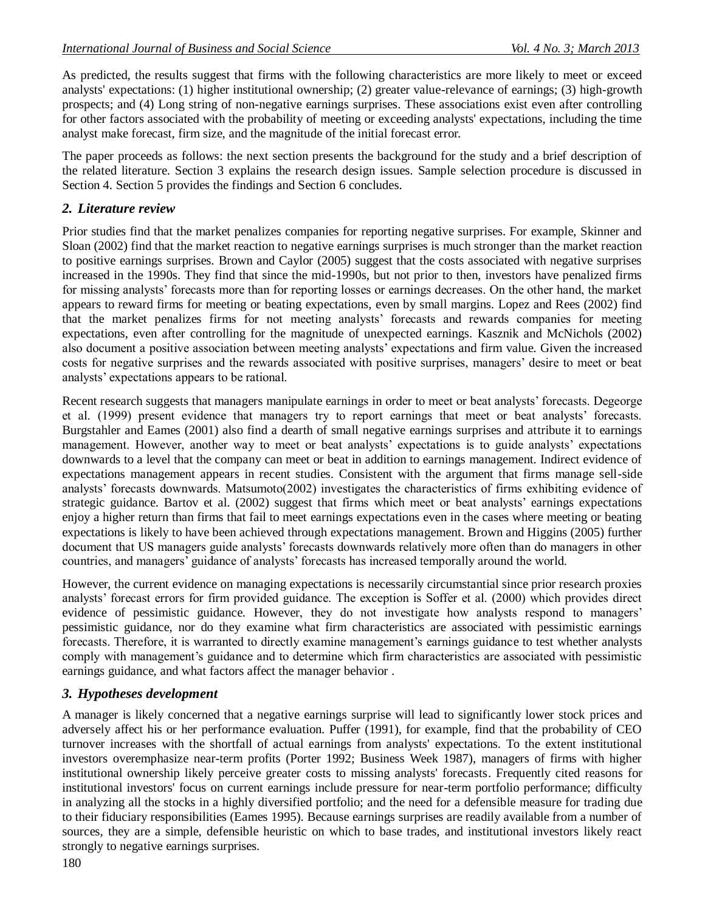As predicted, the results suggest that firms with the following characteristics are more likely to meet or exceed analysts' expectations: (1) higher institutional ownership; (2) greater value-relevance of earnings; (3) high-growth prospects; and (4) Long string of non-negative earnings surprises. These associations exist even after controlling for other factors associated with the probability of meeting or exceeding analysts' expectations, including the time analyst make forecast, firm size, and the magnitude of the initial forecast error.

The paper proceeds as follows: the next section presents the background for the study and a brief description of the related literature. Section 3 explains the research design issues. Sample selection procedure is discussed in Section 4. Section 5 provides the findings and Section 6 concludes.

### *2. Literature review*

Prior studies find that the market penalizes companies for reporting negative surprises. For example, Skinner and Sloan (2002) find that the market reaction to negative earnings surprises is much stronger than the market reaction to positive earnings surprises. Brown and Caylor (2005) suggest that the costs associated with negative surprises increased in the 1990s. They find that since the mid-1990s, but not prior to then, investors have penalized firms for missing analysts' forecasts more than for reporting losses or earnings decreases. On the other hand, the market appears to reward firms for meeting or beating expectations, even by small margins. Lopez and Rees (2002) find that the market penalizes firms for not meeting analysts' forecasts and rewards companies for meeting expectations, even after controlling for the magnitude of unexpected earnings. Kasznik and McNichols (2002) also document a positive association between meeting analysts' expectations and firm value. Given the increased costs for negative surprises and the rewards associated with positive surprises, managers' desire to meet or beat analysts' expectations appears to be rational.

Recent research suggests that managers manipulate earnings in order to meet or beat analysts' forecasts. Degeorge et al. (1999) present evidence that managers try to report earnings that meet or beat analysts' forecasts. Burgstahler and Eames (2001) also find a dearth of small negative earnings surprises and attribute it to earnings management. However, another way to meet or beat analysts' expectations is to guide analysts' expectations downwards to a level that the company can meet or beat in addition to earnings management. Indirect evidence of expectations management appears in recent studies. Consistent with the argument that firms manage sell-side analysts' forecasts downwards. Matsumoto(2002) investigates the characteristics of firms exhibiting evidence of strategic guidance. Bartov et al. (2002) suggest that firms which meet or beat analysts' earnings expectations enjoy a higher return than firms that fail to meet earnings expectations even in the cases where meeting or beating expectations is likely to have been achieved through expectations management. Brown and Higgins (2005) further document that US managers guide analysts' forecasts downwards relatively more often than do managers in other countries, and managers' guidance of analysts' forecasts has increased temporally around the world.

However, the current evidence on managing expectations is necessarily circumstantial since prior research proxies analysts' forecast errors for firm provided guidance. The exception is Soffer et al. (2000) which provides direct evidence of pessimistic guidance. However, they do not investigate how analysts respond to managers' pessimistic guidance, nor do they examine what firm characteristics are associated with pessimistic earnings forecasts. Therefore, it is warranted to directly examine management's earnings guidance to test whether analysts comply with management's guidance and to determine which firm characteristics are associated with pessimistic earnings guidance, and what factors affect the manager behavior .

#### *3. Hypotheses development*

A manager is likely concerned that a negative earnings surprise will lead to significantly lower stock prices and adversely affect his or her performance evaluation. Puffer (1991), for example, find that the probability of CEO turnover increases with the shortfall of actual earnings from analysts' expectations. To the extent institutional investors overemphasize near-term profits (Porter 1992; Business Week 1987), managers of firms with higher institutional ownership likely perceive greater costs to missing analysts' forecasts. Frequently cited reasons for institutional investors' focus on current earnings include pressure for near-term portfolio performance; difficulty in analyzing all the stocks in a highly diversified portfolio; and the need for a defensible measure for trading due to their fiduciary responsibilities (Eames 1995). Because earnings surprises are readily available from a number of sources, they are a simple, defensible heuristic on which to base trades, and institutional investors likely react strongly to negative earnings surprises.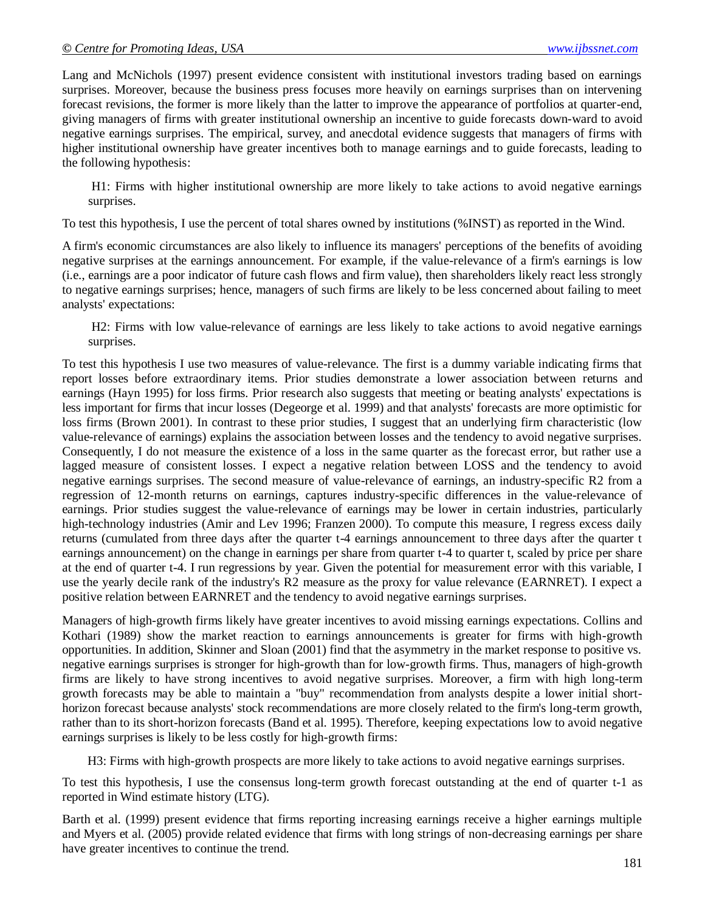Lang and McNichols (1997) present evidence consistent with institutional investors trading based on earnings surprises. Moreover, because the business press focuses more heavily on earnings surprises than on intervening forecast revisions, the former is more likely than the latter to improve the appearance of portfolios at quarter-end, giving managers of firms with greater institutional ownership an incentive to guide forecasts down-ward to avoid negative earnings surprises. The empirical, survey, and anecdotal evidence suggests that managers of firms with higher institutional ownership have greater incentives both to manage earnings and to guide forecasts, leading to the following hypothesis:

H1: Firms with higher institutional ownership are more likely to take actions to avoid negative earnings surprises.

To test this hypothesis, I use the percent of total shares owned by institutions (%INST) as reported in the Wind.

A firm's economic circumstances are also likely to influence its managers' perceptions of the benefits of avoiding negative surprises at the earnings announcement. For example, if the value-relevance of a firm's earnings is low (i.e., earnings are a poor indicator of future cash flows and firm value), then shareholders likely react less strongly to negative earnings surprises; hence, managers of such firms are likely to be less concerned about failing to meet analysts' expectations:

H2: Firms with low value-relevance of earnings are less likely to take actions to avoid negative earnings surprises.

To test this hypothesis I use two measures of value-relevance. The first is a dummy variable indicating firms that report losses before extraordinary items. Prior studies demonstrate a lower association between returns and earnings (Hayn 1995) for loss firms. Prior research also suggests that meeting or beating analysts' expectations is less important for firms that incur losses (Degeorge et al. 1999) and that analysts' forecasts are more optimistic for loss firms (Brown 2001). In contrast to these prior studies, I suggest that an underlying firm characteristic (low value-relevance of earnings) explains the association between losses and the tendency to avoid negative surprises. Consequently, I do not measure the existence of a loss in the same quarter as the forecast error, but rather use a lagged measure of consistent losses. I expect a negative relation between LOSS and the tendency to avoid negative earnings surprises. The second measure of value-relevance of earnings, an industry-specific R2 from a regression of 12-month returns on earnings, captures industry-specific differences in the value-relevance of earnings. Prior studies suggest the value-relevance of earnings may be lower in certain industries, particularly high-technology industries (Amir and Lev 1996; Franzen 2000). To compute this measure, I regress excess daily returns (cumulated from three days after the quarter t-4 earnings announcement to three days after the quarter t earnings announcement) on the change in earnings per share from quarter t-4 to quarter t, scaled by price per share at the end of quarter t-4. I run regressions by year. Given the potential for measurement error with this variable, I use the yearly decile rank of the industry's R2 measure as the proxy for value relevance (EARNRET). I expect a positive relation between EARNRET and the tendency to avoid negative earnings surprises.

Managers of high-growth firms likely have greater incentives to avoid missing earnings expectations. Collins and Kothari (1989) show the market reaction to earnings announcements is greater for firms with high-growth opportunities. In addition, Skinner and Sloan (2001) find that the asymmetry in the market response to positive vs. negative earnings surprises is stronger for high-growth than for low-growth firms. Thus, managers of high-growth firms are likely to have strong incentives to avoid negative surprises. Moreover, a firm with high long-term growth forecasts may be able to maintain a "buy" recommendation from analysts despite a lower initial shorthorizon forecast because analysts' stock recommendations are more closely related to the firm's long-term growth, rather than to its short-horizon forecasts (Band et al. 1995). Therefore, keeping expectations low to avoid negative earnings surprises is likely to be less costly for high-growth firms:

H3: Firms with high-growth prospects are more likely to take actions to avoid negative earnings surprises.

To test this hypothesis, I use the consensus long-term growth forecast outstanding at the end of quarter t-1 as reported in Wind estimate history (LTG).

Barth et al. (1999) present evidence that firms reporting increasing earnings receive a higher earnings multiple and Myers et al. (2005) provide related evidence that firms with long strings of non-decreasing earnings per share have greater incentives to continue the trend.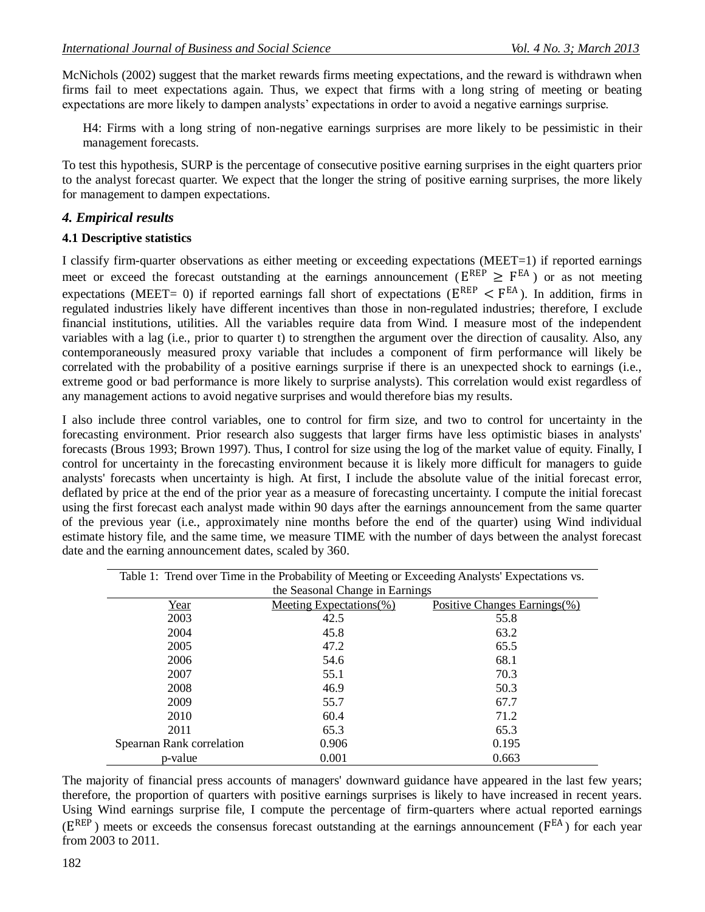McNichols (2002) suggest that the market rewards firms meeting expectations, and the reward is withdrawn when firms fail to meet expectations again. Thus, we expect that firms with a long string of meeting or beating expectations are more likely to dampen analysts' expectations in order to avoid a negative earnings surprise.

H4: Firms with a long string of non-negative earnings surprises are more likely to be pessimistic in their management forecasts.

To test this hypothesis, SURP is the percentage of consecutive positive earning surprises in the eight quarters prior to the analyst forecast quarter. We expect that the longer the string of positive earning surprises, the more likely for management to dampen expectations.

#### *4. Empirical results*

#### **4.1 Descriptive statistics**

I classify firm-quarter observations as either meeting or exceeding expectations (MEET=1) if reported earnings meet or exceed the forecast outstanding at the earnings announcement ( $E^{REP} \geq F^{EA}$ ) or as not meeting expectations (MEET= 0) if reported earnings fall short of expectations ( $E^{REP} < F^{EA}$ ). In addition, firms in regulated industries likely have different incentives than those in non-regulated industries; therefore, I exclude financial institutions, utilities. All the variables require data from Wind. I measure most of the independent variables with a lag (i.e., prior to quarter t) to strengthen the argument over the direction of causality. Also, any contemporaneously measured proxy variable that includes a component of firm performance will likely be correlated with the probability of a positive earnings surprise if there is an unexpected shock to earnings (i.e., extreme good or bad performance is more likely to surprise analysts). This correlation would exist regardless of any management actions to avoid negative surprises and would therefore bias my results.

I also include three control variables, one to control for firm size, and two to control for uncertainty in the forecasting environment. Prior research also suggests that larger firms have less optimistic biases in analysts' forecasts (Brous 1993; Brown 1997). Thus, I control for size using the log of the market value of equity. Finally, I control for uncertainty in the forecasting environment because it is likely more difficult for managers to guide analysts' forecasts when uncertainty is high. At first, I include the absolute value of the initial forecast error, deflated by price at the end of the prior year as a measure of forecasting uncertainty. I compute the initial forecast using the first forecast each analyst made within 90 days after the earnings announcement from the same quarter of the previous year (i.e., approximately nine months before the end of the quarter) using Wind individual estimate history file, and the same time, we measure TIME with the number of days between the analyst forecast date and the earning announcement dates, scaled by 360.

| Table 1: Trend over Time in the Probability of Meeting or Exceeding Analysts' Expectations vs. |                         |                              |  |  |  |
|------------------------------------------------------------------------------------------------|-------------------------|------------------------------|--|--|--|
| the Seasonal Change in Earnings                                                                |                         |                              |  |  |  |
| Year                                                                                           | Meeting Expectations(%) | Positive Changes Earnings(%) |  |  |  |
| 2003                                                                                           | 42.5                    | 55.8                         |  |  |  |
| 2004                                                                                           | 45.8                    | 63.2                         |  |  |  |
| 2005                                                                                           | 47.2                    | 65.5                         |  |  |  |
| 2006                                                                                           | 54.6                    | 68.1                         |  |  |  |
| 2007                                                                                           | 55.1                    | 70.3                         |  |  |  |
| 2008                                                                                           | 46.9                    | 50.3                         |  |  |  |
| 2009                                                                                           | 55.7                    | 67.7                         |  |  |  |
| 2010                                                                                           | 60.4                    | 71.2                         |  |  |  |
| 2011                                                                                           | 65.3                    | 65.3                         |  |  |  |
| Spearnan Rank correlation                                                                      | 0.906                   | 0.195                        |  |  |  |
| p-value                                                                                        | 0.001                   | 0.663                        |  |  |  |

The majority of financial press accounts of managers' downward guidance have appeared in the last few years; therefore, the proportion of quarters with positive earnings surprises is likely to have increased in recent years. Using Wind earnings surprise file, I compute the percentage of firm-quarters where actual reported earnings  $(E^{REF})$  meets or exceeds the consensus forecast outstanding at the earnings announcement ( $F^{EA}$ ) for each year from 2003 to 2011.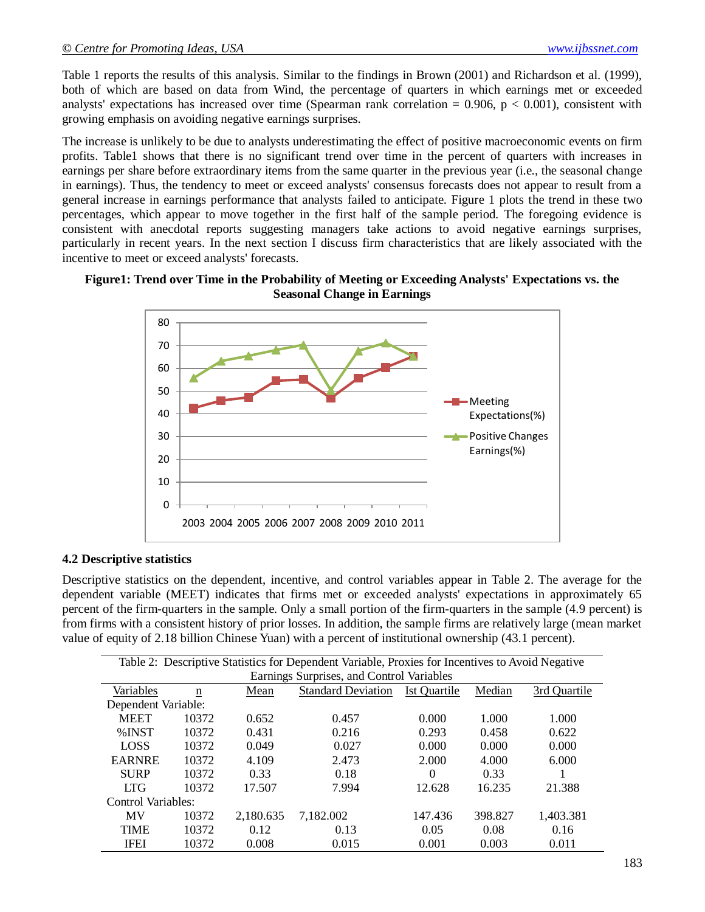Table 1 reports the results of this analysis. Similar to the findings in Brown (2001) and Richardson et al. (1999), both of which are based on data from Wind, the percentage of quarters in which earnings met or exceeded analysts' expectations has increased over time (Spearman rank correlation =  $0.906$ , p <  $0.001$ ), consistent with growing emphasis on avoiding negative earnings surprises.

The increase is unlikely to be due to analysts underestimating the effect of positive macroeconomic events on firm profits. Table1 shows that there is no significant trend over time in the percent of quarters with increases in earnings per share before extraordinary items from the same quarter in the previous year (i.e., the seasonal change in earnings). Thus, the tendency to meet or exceed analysts' consensus forecasts does not appear to result from a general increase in earnings performance that analysts failed to anticipate. Figure 1 plots the trend in these two percentages, which appear to move together in the first half of the sample period. The foregoing evidence is consistent with anecdotal reports suggesting managers take actions to avoid negative earnings surprises, particularly in recent years. In the next section I discuss firm characteristics that are likely associated with the incentive to meet or exceed analysts' forecasts.

#### **Figure1: Trend over Time in the Probability of Meeting or Exceeding Analysts' Expectations vs. the Seasonal Change in Earnings**



#### **4.2 Descriptive statistics**

Descriptive statistics on the dependent, incentive, and control variables appear in Table 2. The average for the dependent variable (MEET) indicates that firms met or exceeded analysts' expectations in approximately 65 percent of the firm-quarters in the sample. Only a small portion of the firm-quarters in the sample (4.9 percent) is from firms with a consistent history of prior losses. In addition, the sample firms are relatively large (mean market value of equity of 2.18 billion Chinese Yuan) with a percent of institutional ownership (43.1 percent).

| Table 2: Descriptive Statistics for Dependent Variable, Proxies for Incentives to Avoid Negative |       |           |                           |                     |         |              |
|--------------------------------------------------------------------------------------------------|-------|-----------|---------------------------|---------------------|---------|--------------|
| Earnings Surprises, and Control Variables                                                        |       |           |                           |                     |         |              |
| Variables                                                                                        | n     | Mean      | <b>Standard Deviation</b> | <b>Ist Quartile</b> | Median  | 3rd Quartile |
| Dependent Variable:                                                                              |       |           |                           |                     |         |              |
| <b>MEET</b>                                                                                      | 10372 | 0.652     | 0.457                     | 0.000               | 1.000   | 1.000        |
| %INST                                                                                            | 10372 | 0.431     | 0.216                     | 0.293               | 0.458   | 0.622        |
| <b>LOSS</b>                                                                                      | 10372 | 0.049     | 0.027                     | 0.000               | 0.000   | 0.000        |
| <b>EARNRE</b>                                                                                    | 10372 | 4.109     | 2.473                     | 2.000               | 4.000   | 6.000        |
| <b>SURP</b>                                                                                      | 10372 | 0.33      | 0.18                      | 0                   | 0.33    |              |
| <b>LTG</b>                                                                                       | 10372 | 17.507    | 7.994                     | 12.628              | 16.235  | 21.388       |
| Control Variables:                                                                               |       |           |                           |                     |         |              |
| MV                                                                                               | 10372 | 2.180.635 | 7,182.002                 | 147.436             | 398.827 | 1,403.381    |
| <b>TIME</b>                                                                                      | 10372 | 0.12      | 0.13                      | 0.05                | 0.08    | 0.16         |
| <b>IFEI</b>                                                                                      | 10372 | 0.008     | 0.015                     | 0.001               | 0.003   | 0.011        |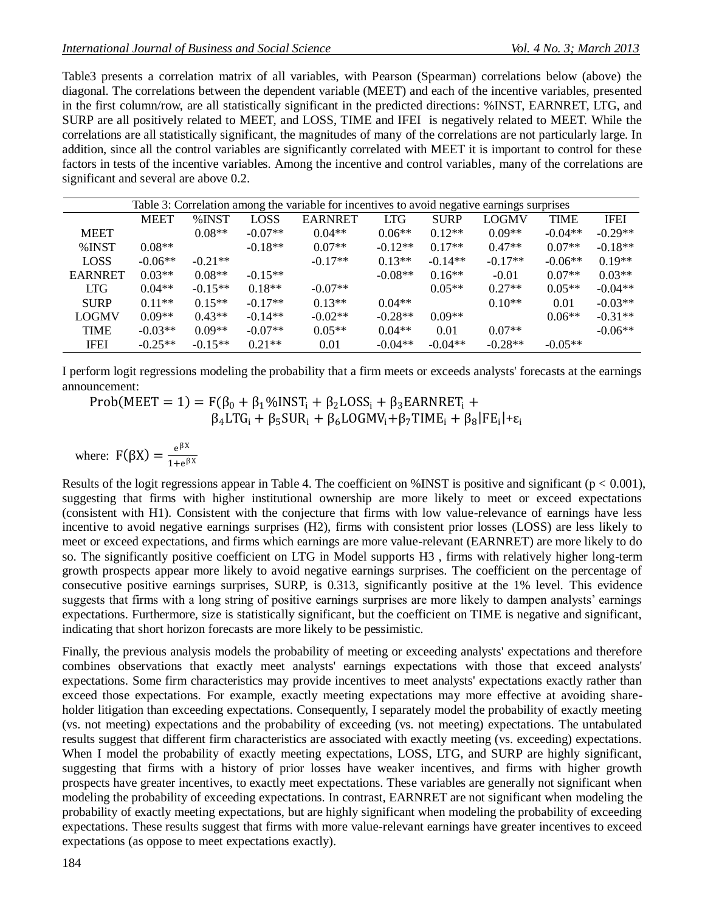Table3 presents a correlation matrix of all variables, with Pearson (Spearman) correlations below (above) the diagonal. The correlations between the dependent variable (MEET) and each of the incentive variables, presented in the first column/row, are all statistically significant in the predicted directions: %INST, EARNRET, LTG, and SURP are all positively related to MEET, and LOSS, TIME and IFEI is negatively related to MEET. While the correlations are all statistically significant, the magnitudes of many of the correlations are not particularly large. In addition, since all the control variables are significantly correlated with MEET it is important to control for these factors in tests of the incentive variables. Among the incentive and control variables, many of the correlations are significant and several are above 0.2.

| Table 3: Correlation among the variable for incentives to avoid negative earnings surprises |             |           |             |                |            |             |              |             |             |
|---------------------------------------------------------------------------------------------|-------------|-----------|-------------|----------------|------------|-------------|--------------|-------------|-------------|
|                                                                                             | <b>MEET</b> | %INST     | <b>LOSS</b> | <b>EARNRET</b> | <b>LTG</b> | <b>SURP</b> | <b>LOGMV</b> | <b>TIME</b> | <b>IFEI</b> |
| <b>MEET</b>                                                                                 |             | $0.08**$  | $-0.07**$   | $0.04**$       | $0.06**$   | $0.12**$    | $0.09**$     | $-0.04**$   | $-0.29**$   |
| $%$ INST                                                                                    | $0.08**$    |           | $-0.18**$   | $0.07**$       | $-0.12**$  | $0.17**$    | $0.47**$     | $0.07**$    | $-0.18**$   |
| <b>LOSS</b>                                                                                 | $-0.06**$   | $-0.21**$ |             | $-0.17**$      | $0.13**$   | $-0.14**$   | $-0.17**$    | $-0.06**$   | $0.19**$    |
| <b>EARNRET</b>                                                                              | $0.03**$    | $0.08**$  | $-0.15**$   |                | $-0.08**$  | $0.16**$    | $-0.01$      | $0.07**$    | $0.03**$    |
| <b>LTG</b>                                                                                  | $0.04**$    | $-0.15**$ | $0.18**$    | $-0.07**$      |            | $0.05**$    | $0.27**$     | $0.05**$    | $-0.04**$   |
| <b>SURP</b>                                                                                 | $0.11**$    | $0.15**$  | $-0.17**$   | $0.13**$       | $0.04**$   |             | $0.10**$     | 0.01        | $-0.03**$   |
| <b>LOGMV</b>                                                                                | $0.09**$    | $0.43**$  | $-0.14**$   | $-0.02**$      | $-0.28**$  | $0.09**$    |              | $0.06**$    | $-0.31**$   |
| <b>TIME</b>                                                                                 | $-0.03**$   | $0.09**$  | $-0.07**$   | $0.05**$       | $0.04**$   | 0.01        | $0.07**$     |             | $-0.06**$   |
| <b>IFEI</b>                                                                                 | $-0.25**$   | $-0.15**$ | $0.21**$    | 0.01           | $-0.04**$  | $-0.04**$   | $-0.28**$    | $-0.05**$   |             |

I perform logit regressions modeling the probability that a firm meets or exceeds analysts' forecasts at the earnings announcement:

Prob(MEET = 1) =  $F(\beta_0 + \beta_1\%$ INST<sub>i</sub> +  $\beta_2$ LOSS<sub>i</sub> +  $\beta_3$ EARNRET<sub>i</sub> +  $\beta_4 L T G_i + \beta_5 S U R_i + \beta_6 L O G M V_i + \beta_7 T I M E_i + \beta_8 |FE_i| + \epsilon_i$ 

where: 
$$
F(\beta X) = \frac{e^{\beta X}}{1 + e^{\beta X}}
$$

Results of the logit regressions appear in Table 4. The coefficient on %INST is positive and significant ( $p < 0.001$ ), suggesting that firms with higher institutional ownership are more likely to meet or exceed expectations (consistent with H1). Consistent with the conjecture that firms with low value-relevance of earnings have less incentive to avoid negative earnings surprises (H2), firms with consistent prior losses (LOSS) are less likely to meet or exceed expectations, and firms which earnings are more value-relevant (EARNRET) are more likely to do so. The significantly positive coefficient on LTG in Model supports H3 , firms with relatively higher long-term growth prospects appear more likely to avoid negative earnings surprises. The coefficient on the percentage of consecutive positive earnings surprises, SURP, is 0.313, significantly positive at the 1% level. This evidence suggests that firms with a long string of positive earnings surprises are more likely to dampen analysts' earnings expectations. Furthermore, size is statistically significant, but the coefficient on TIME is negative and significant, indicating that short horizon forecasts are more likely to be pessimistic.

Finally, the previous analysis models the probability of meeting or exceeding analysts' expectations and therefore combines observations that exactly meet analysts' earnings expectations with those that exceed analysts' expectations. Some firm characteristics may provide incentives to meet analysts' expectations exactly rather than exceed those expectations. For example, exactly meeting expectations may more effective at avoiding shareholder litigation than exceeding expectations. Consequently, I separately model the probability of exactly meeting (vs. not meeting) expectations and the probability of exceeding (vs. not meeting) expectations. The untabulated results suggest that different firm characteristics are associated with exactly meeting (vs. exceeding) expectations. When I model the probability of exactly meeting expectations, LOSS, LTG, and SURP are highly significant, suggesting that firms with a history of prior losses have weaker incentives, and firms with higher growth prospects have greater incentives, to exactly meet expectations. These variables are generally not significant when modeling the probability of exceeding expectations. In contrast, EARNRET are not significant when modeling the probability of exactly meeting expectations, but are highly significant when modeling the probability of exceeding expectations. These results suggest that firms with more value-relevant earnings have greater incentives to exceed expectations (as oppose to meet expectations exactly).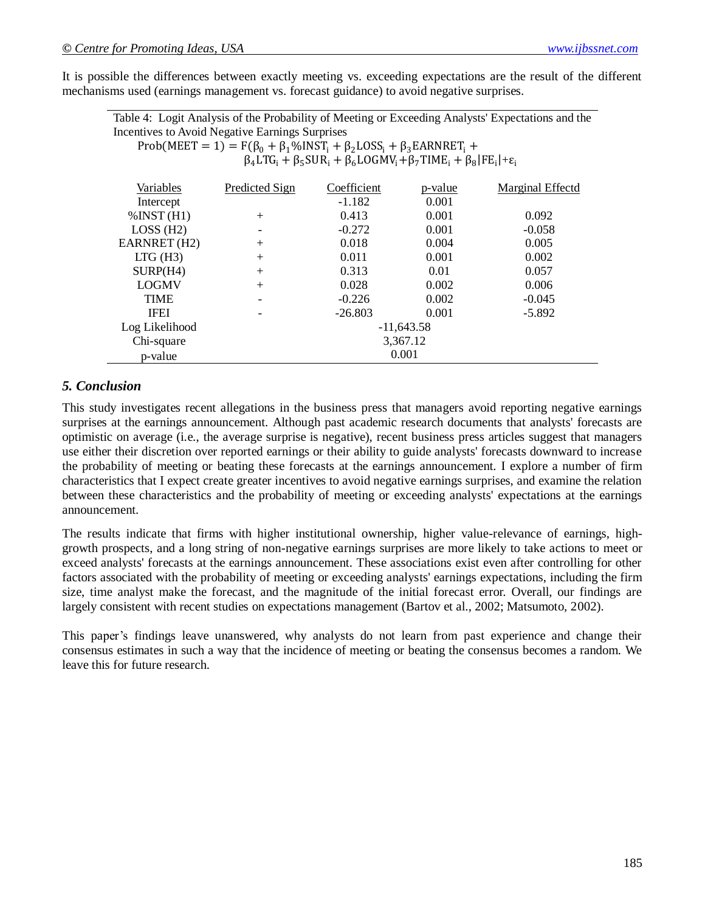It is possible the differences between exactly meeting vs. exceeding expectations are the result of the different mechanisms used (earnings management vs. forecast guidance) to avoid negative surprises.

Table 4: Logit Analysis of the Probability of Meeting or Exceeding Analysts' Expectations and the Incentives to Avoid Negative Earnings Surprises

Prob(MEET = 1) =  $F(\beta_0 + \beta_1\%$ INST<sub>i</sub> +  $\beta_2$ LOSS<sub>i</sub> +  $\beta_3$ EARNRET<sub>i</sub> +

 $\beta_4 L T G_i + \beta_5 S U R_i + \beta_6 L O G M V_i + \beta_7 T I M E_i + \beta_8 |FE_i| + \epsilon_i$ 

| Variables                | Predicted Sign           | Coefficient  | p-value | Marginal Effectd |  |  |  |
|--------------------------|--------------------------|--------------|---------|------------------|--|--|--|
| Intercept                |                          | $-1.182$     | 0.001   |                  |  |  |  |
| $\%$ INST (H1)           | $^{+}$                   | 0.413        | 0.001   | 0.092            |  |  |  |
| $LOSS$ (H2)              | $\overline{\phantom{a}}$ | $-0.272$     | 0.001   | $-0.058$         |  |  |  |
| EARNRET (H2)             | $^{+}$                   | 0.018        | 0.004   | 0.005            |  |  |  |
| $LTG$ (H3)               | $^{+}$                   | 0.011        | 0.001   | 0.002            |  |  |  |
| $\text{SURP}(\text{H4})$ | $^{+}$                   | 0.313        | 0.01    | 0.057            |  |  |  |
| <b>LOGMV</b>             | $^{+}$                   | 0.028        | 0.002   | 0.006            |  |  |  |
| <b>TIME</b>              | $\qquad \qquad$          | $-0.226$     | 0.002   | $-0.045$         |  |  |  |
| <b>IFEI</b>              |                          | $-26.803$    | 0.001   | $-5.892$         |  |  |  |
| Log Likelihood           |                          | $-11,643.58$ |         |                  |  |  |  |
| Chi-square               |                          | 3,367.12     |         |                  |  |  |  |
| p-value                  |                          | 0.001        |         |                  |  |  |  |

#### *5. Conclusion*

This study investigates recent allegations in the business press that managers avoid reporting negative earnings surprises at the earnings announcement. Although past academic research documents that analysts' forecasts are optimistic on average (i.e., the average surprise is negative), recent business press articles suggest that managers use either their discretion over reported earnings or their ability to guide analysts' forecasts downward to increase the probability of meeting or beating these forecasts at the earnings announcement. I explore a number of firm characteristics that I expect create greater incentives to avoid negative earnings surprises, and examine the relation between these characteristics and the probability of meeting or exceeding analysts' expectations at the earnings announcement.

The results indicate that firms with higher institutional ownership, higher value-relevance of earnings, highgrowth prospects, and a long string of non-negative earnings surprises are more likely to take actions to meet or exceed analysts' forecasts at the earnings announcement. These associations exist even after controlling for other factors associated with the probability of meeting or exceeding analysts' earnings expectations, including the firm size, time analyst make the forecast, and the magnitude of the initial forecast error. Overall, our findings are largely consistent with recent studies on expectations management (Bartov et al., 2002; Matsumoto, 2002).

This paper's findings leave unanswered, why analysts do not learn from past experience and change their consensus estimates in such a way that the incidence of meeting or beating the consensus becomes a random. We leave this for future research.